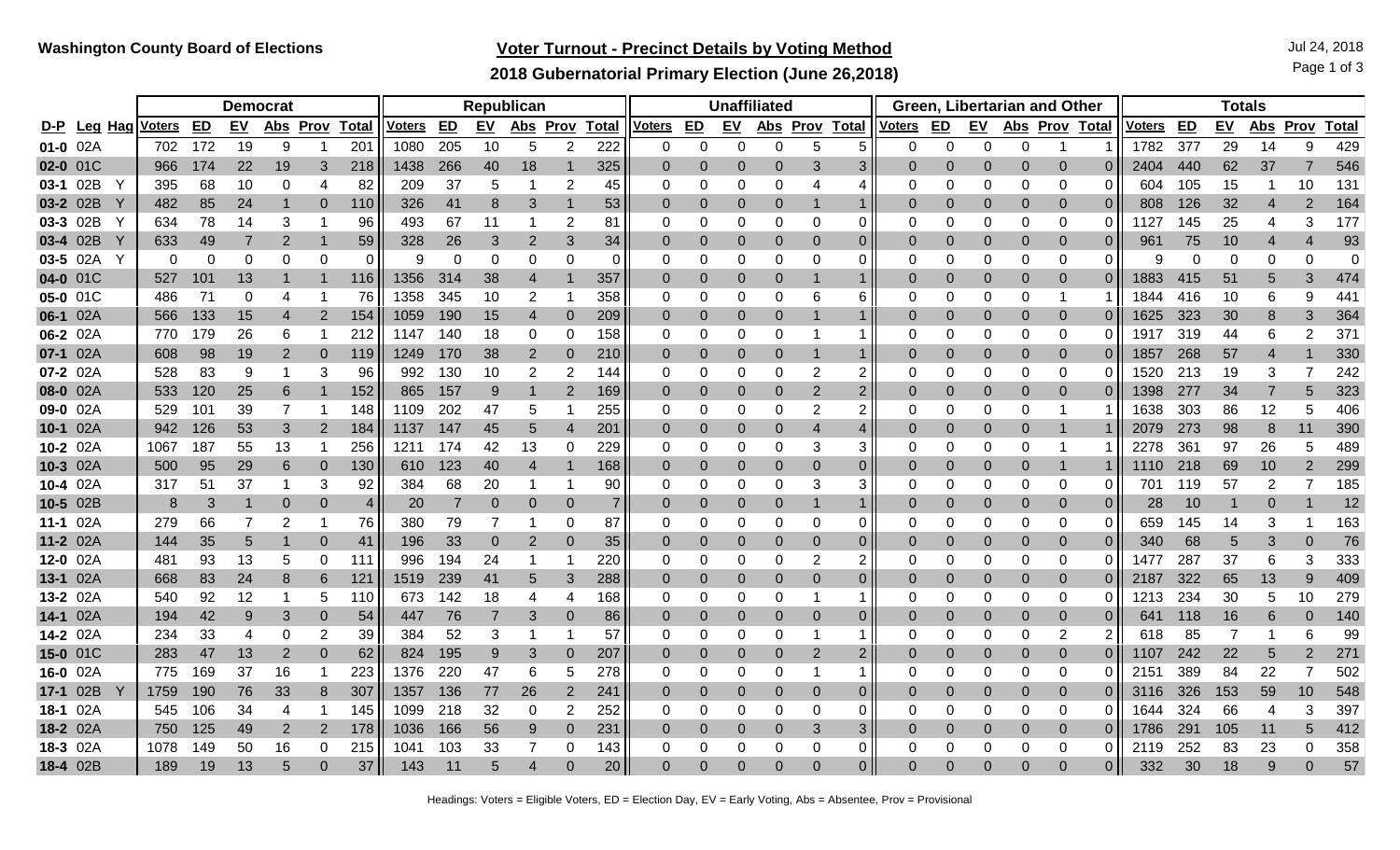## **Voter Turnout - Precinct Details by Voting Method** Jul 24, 2018

Page 1 of 3

**2018 Gubernatorial Primary Election (June 26,2018)**

|          |             |   |               |     | <b>Democrat</b> |            |                |                |               |          |                | Republican |                |       |                |                |              | <b>Unaffiliated</b> |                |                       |                | Green, Libertarian and Other |           |          |                |                |               |          | <b>Totals</b> |            |                 |              |
|----------|-------------|---|---------------|-----|-----------------|------------|----------------|----------------|---------------|----------|----------------|------------|----------------|-------|----------------|----------------|--------------|---------------------|----------------|-----------------------|----------------|------------------------------|-----------|----------|----------------|----------------|---------------|----------|---------------|------------|-----------------|--------------|
|          | D-P Leg Hag |   | <b>Voters</b> | ED  | <u>EV</u>       | <u>Abs</u> | <b>Prov</b>    | <u>Total</u>   | <u>Voters</u> | ED       | <u>EV</u>      |            | Abs Prov       | Total | <b>Voters</b>  | <b>ED</b>      | <u>EV</u>    | <u>Abs</u>          | <b>Prov</b>    | <b>Total</b>          | <u>Voters</u>  | <b>ED</b>                    | <u>EV</u> |          | Abs Prov Total |                | <b>Voters</b> | ED       | <u>EV</u>     | <u>Abs</u> | <b>Prov</b>     | <u>Total</u> |
| 01-0 02A |             |   | 702           | 172 | 19              | 9          |                | 201            | 1080          | 205      | 10             | 5          | 2              | 222   | 0              | 0              | 0            | 0                   | 5              | 5                     | $\Omega$       | ∩                            |           | 0        |                |                | 1782          | 377      | 29            | 14         | 9               | 429          |
| 02-0 01C |             |   | 966           | 174 | 22              | 19         | 3              | 218            | 1438          | 266      | 40             | 18         |                | 325   | $\overline{0}$ | -0             | 0            | 0                   | 3              | 3                     | $\Omega$       | $\Omega$                     | 0         | 0        | $\overline{0}$ | 0              | 2404          | 440      | 62            | 37         | $\overline{7}$  | 546          |
| 03-1 02B |             |   | 395           | 68  | 10              | 0          |                | 82             | 209           | 37       | 5              |            | 2              | 45    | 0              | $\Omega$       | 0            | 0                   | 4              |                       | 0              | ∩                            |           |          | 0              | $\Omega$       | 604           | 105      | 15            |            | 10              | 131          |
| 03-2 02B |             | Y | 482           | 85  | 24              |            | $\Omega$       | 110            | 326           | 41       | 8              | 3          |                | 53    | $\Omega$       | -0             | 0            | 0                   |                |                       | $\Omega$       | $\Omega$                     | 0         | 0        | $\overline{0}$ | 0              | 808           | 126      | 32            |            | $\overline{2}$  | 164          |
| 03-3 02B |             |   | 634           | 78  | 14              | 3          |                | 96             | 493           | 67       | 11             |            | $\overline{2}$ | 81    | $\Omega$       | 0              | 0            | 0                   | $\Omega$       | 0                     | $\Omega$       | $\Omega$                     | 0         | 0        | 0              | 0              | 1127          | 145      | 25            |            | 3               | 177          |
| 03-4 02B |             |   | 633           | 49  |                 |            |                | 59             | 328           | 26       |                |            | 3              | 34    | $\Omega$       | 0              | 0            | 0                   | $\Omega$       | $\mathbf 0$           | $\Omega$       | $\Omega$                     |           | 0        | $\mathbf 0$    | $\overline{0}$ | 961           | 75       | 10            |            | 4               | 93           |
| 03-5 02A |             | Y | 0             | 0   | $\Omega$        | 0          | $\Omega$       | $\Omega$       | 9             | $\Omega$ | $\Omega$       | 0          | $\Omega$       | 0     | 0              | 0              | 0            | $\Omega$            | 0              | 0                     | 0              | $\Omega$                     | 0         |          | 0              | 0              | 9             | $\Omega$ | 0             | ∩          | 0               |              |
| 04-0 01C |             |   | 527           | 101 | 13              |            |                | 116            | 1356          | 314      | 38             |            |                | 357   | $\Omega$       | $\Omega$       | 0            |                     |                |                       | 0              | 0                            | 0         |          | 0              | $\Omega$       | 1883          | 415      | 51            |            | 3               | 474          |
| 05-0 01C |             |   | 486           | 71  | $\Omega$        |            |                | 76             | 1358          | 345      | 10             | 2          |                | 358   | 0              | $\Omega$       | 0            |                     | 6              | 6                     | 0              | $\Omega$                     | 0         | 0        |                |                | 1844          | 416      | 10            |            | 9               | 441          |
| 06-1 02A |             |   | 566           | 133 | 15              | 4          | 2              | 154            | 1059          | 190      | 15             | 4          | $\Omega$       | 209   | $\Omega$       | $\Omega$       | 0            | 0                   |                |                       | $\Omega$       | $\Omega$                     |           | $\Omega$ | $\Omega$       |                | 1625          | 323      | 30            |            | 3               | 364          |
| 06-2 02A |             |   | 770.          | 179 | 26              | 6          |                | 212            | 1147          | 140      | 18             | 0          | 0              | 158   | 0              | 0              | 0            | ∩                   |                |                       | 0              | ∩                            | 0         |          | 0              | ∩              | 1917          | 319      | 44            | 6          | 2               | 371          |
| 07-1 02A |             |   | 608           | 98  | 19              | 2          | $\Omega$       | 119            | 1249          | 170      | 38             |            | $\Omega$       | 210   | $\Omega$       |                | 0            |                     |                |                       | $\Omega$       |                              |           |          | 0              |                | 1857          | 268      | 57            |            |                 | 330          |
| 07-2 02A |             |   | 528           | 83  | 9               |            | 3              | 96             | 992           | 130      | 10             | 2          | 2              | 144   | $\Omega$       | 0              | 0            | 0                   | 2              | 2 <sub>1</sub>        | 0              | $\Omega$                     | 0         |          | 0              | ∩              | 1520          | 213      | 19            | 3          | 7               | 242          |
| 08-0 02A |             |   | 533           | 120 | 25              | 6          |                | 152            | 865           | 157      | $9\,$          |            | 2              | 169   | $\Omega$       | $\overline{0}$ | 0            | 0                   | $\overline{2}$ | $\mathbf{2}^{\prime}$ | $\Omega$       | $\overline{0}$               | $\Omega$  | 0        | $\overline{0}$ | $\Omega$       | 1398          | 277      | 34            |            | 5               | 323          |
| 09-0 02A |             |   | 529           | 101 | 39              |            |                | 148            | 1109          | 202      | 47             | 5          |                | 255   | 0              | 0              | 0            | 0                   | 2              | ا 2                   | 0              | $\Omega$                     | 0         |          | 1              |                | 1638          | 303      | 86            | 12         | 5               | 406          |
| 10-1 02A |             |   | 942           | 126 | 53              | 3          | 2              | 184            | 1137          | 147      | 45             | 5          | $\overline{4}$ | 201   | $\Omega$       | $\mathbf 0$    | $\mathbf{0}$ | 0                   | $\overline{4}$ | 4                     | $\overline{0}$ | $\Omega$                     | $\Omega$  | 0        |                |                | 2079          | 273      | 98            | 8          | 11              | 390          |
| 10-2 02A |             |   | 1067          | 187 | 55              | 13         |                | 256            | 1211          | 174      | 42             | 13         | $\Omega$       | 229   | 0              | 0              | 0            | 0                   | 3              | 3                     | 0              | $\Omega$                     | 0         | 0        |                |                | 2278          | 361      | 97            | 26         | 5               | 489          |
| 10-3 02A |             |   | 500           | 95  | 29              | 6          | $\Omega$       | 130            | 610           | 123      | 40             | 4          |                | 168   | $\Omega$       | 0              | 0            | 0                   | $\overline{0}$ | 0                     | $\overline{0}$ | $\Omega$                     | 0         | 0        |                |                | 1110          | 218      | 69            | 10         | $\overline{2}$  | 299          |
| 10-4 02A |             |   | 317           | 51  | 37              |            | 3              | 92             | 384           | 68       | 20             |            |                | 90    | $\Omega$       | $\Omega$       | $\Omega$     | $\Omega$            | 3              | 3                     | $\Omega$       | $\Omega$                     | $\Omega$  | $\Omega$ | $\Omega$       | 0              | 701           | 119      | 57            |            |                 | 185          |
| 10-5 02B |             |   | 8             | 3   |                 | 0          | $\Omega$       | $\overline{4}$ | <b>20</b>     |          | $\overline{0}$ | 0          | $\Omega$       | 7     | $\Omega$       | $\Omega$       | 0            | 0                   |                |                       | $\Omega$       | $\Omega$                     | $\Omega$  | 0        | $\overline{0}$ | $\overline{0}$ | 28            | 10       |               |            |                 | 12           |
| 11-1 02A |             |   | 279           | 66  |                 | 2          |                | 76             | 380           | 79       | 7              |            | 0              | 87    | 0              | $\Omega$       | $\Omega$     | 0                   | 0              | 0 I                   | 0              | $\Omega$                     | 0         | 0        | 0              | 0              | 659           | 145      | 14            | 3          |                 | 163          |
| 11-2 02A |             |   | 144           | 35  | 5               |            | 0              | 41             | 196           | 33       | 0              | 2          | $\Omega$       | 35    | $\Omega$       | 0              | 0            |                     | 0              | 0                     | $\Omega$       | $\Omega$                     | 0         |          | 0              | $\Omega$       | 340           | 68       | 5             | 3          | 0               | 76           |
| 12-0 02A |             |   | 481           | 93  | 13              | 5          | 0              | 111            | 996           | 194      | 24             |            |                | 220   | 0              | 0              | 0            | ∩                   | $\overline{2}$ | 2 <sub>1</sub>        | 0              | $\Omega$                     | 0         | U        | $\Omega$       | $\Omega$       | 1477          | 287      | 37            | 6          | 3               | 333          |
| 13-1 02A |             |   | 668           | 83  | 24              | 8          | 6              | 121            | 1519          | 239      | 41             |            | 3              | 288   | $\Omega$       | $\Omega$       | 0            | 0                   | $\overline{0}$ | $\Omega$              | $\Omega$       | $\Omega$                     |           | 0        | $\Omega$       | $\Omega$       | 2187          | 322      | 65            | 13         | 9               | 409          |
| 13-2 02A |             |   | 540           | 92  | 12              |            | 5              | 110            | 673           | 142      | 18             |            | 4              | 168   | $\Omega$       | 0              | 0            | 0                   | -1             |                       | 0              | $\Omega$                     | 0         |          | 0              | $\Omega$       | 1213          | 234      | 30            | 5          | 10              | 279          |
| 14-1 02A |             |   | 194           | 42  | 9               | 3          | $\overline{0}$ | 54             | 447           | 76       |                | 3          | 0              | 86    | $\overline{0}$ |                | 0            |                     | $\overline{0}$ | 0                     | $\Omega$       | $\Omega$                     |           |          | $\overline{0}$ | 0              | 641           | 118      | 16            |            | 0               | <b>140</b>   |
| 14-2 02A |             |   | 234           | 33  | 4               | 0          | $\overline{2}$ | 39             | 384           | 52       | 3              |            |                | 57    | 0              | 0              | 0            | 0                   |                |                       | $\Omega$       | $\Omega$                     | 0         | 0        | $\overline{2}$ | $\overline{2}$ | 618           | 85       | 7             |            | 6               | 99           |
| 15-0 01C |             |   | 283           | 47  | 13              | 2          | $\overline{0}$ | 62             | 824           | 195      | 9              | 3          | $\overline{0}$ | 207   | $\Omega$       | $\overline{0}$ | 0            | 0                   | $\overline{2}$ | $\overline{2}$        | $\Omega$       | $\Omega$                     | 0         | 0        | $\overline{0}$ | $\Omega$       | 1107          | 242      | 22            | 5          | $\overline{2}$  | 271          |
| 16-0 02A |             |   | 775           | 169 | 37              | 16         |                | 223            | 1376          | 220      | 47             | 6          | 5              | 278   | $\Omega$       | 0              | 0            | 0                   | 1              |                       | $\Omega$       | $\Omega$                     | 0         | 0        | 0              | ∩              | 2151          | 389      | 84            | 22         | 7               | 502          |
| 17-1 02B |             |   | 1759          | 190 | 76              | 33         | 8              | 307            | 1357          | 136      | 77             | 26         | $\overline{2}$ | 241   | $\Omega$       | $\mathbf 0$    | 0            | 0                   | $\Omega$       | $\mathbf 0$           | $\Omega$       | $\Omega$                     | $\Omega$  | 0        | $\Omega$       | $\Omega$       | 3116          | 326      | 153           | 59         | 10 <sup>°</sup> | 548          |
| 18-1 02A |             |   | 545           | 106 | 34              | 4          |                | 145            | 1099          | 218      | 32             | 0          | 2              | 252   | 0              | 0              | 0            |                     | 0              | $\Omega$              | 0              | ∩                            | 0         |          | $\Omega$       | $\Omega$       | 1644          | 324      | 66            |            | 3               | 397          |
| 18-2 02A |             |   | 750           | 125 | 49              | 2          | $\overline{2}$ | 178            | 1036          | 166      | 56             | 9          | $\Omega$       | 231   | 0              | $\Omega$       | 0            |                     | 3              | 3                     | $\Omega$       | $\Omega$                     | 0         |          | $\Omega$       | $\Omega$       | 1786          | 291      | 105           | 11         | 5               | 412          |
| 18-3 02A |             |   | 1078          | 149 | 50              | 16         | $\Omega$       | 215            | 1041          | 103      | 33             |            | 0              | 143   | 0              | 0              | 0            |                     | $\Omega$       | 0                     |                | $\Omega$                     | 0         |          | 0              | ∩              | 2119          | 252      | 83            | 23         | 0               | 358          |
| 18-4 02B |             |   | 189           | 19  | 13              |            |                | 37             | 143           | 11       |                |            |                | 20    |                |                |              |                     |                | $\Omega$              |                |                              |           |          |                | 0 <sup>1</sup> | 332           | 30       | 18            |            |                 | 57           |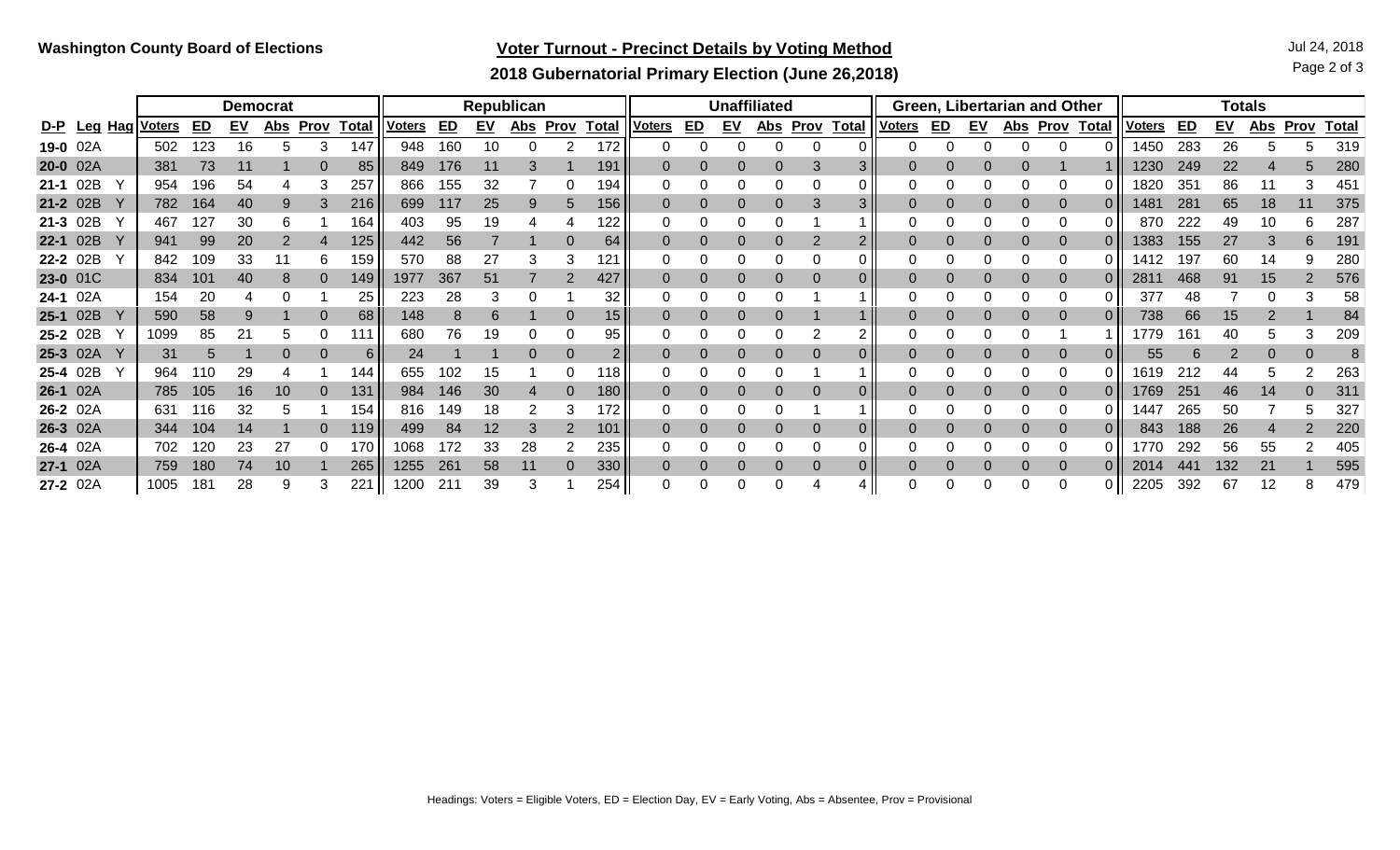## **Voter Turnout - Precinct Details by Voting Method** Jul 24, 2018

Page 2 of 3

**2018 Gubernatorial Primary Election (June 26,2018)**

|          |     |               |     | <b>Democrat</b> |            |             |              |               |              |           | Republican |      |                 |               | Unaffiliated |           |            |             |              |               | Green, Libertarian and Other |           |          |          |                | <b>Totals</b> |              |           |            |             |              |  |  |  |  |  |
|----------|-----|---------------|-----|-----------------|------------|-------------|--------------|---------------|--------------|-----------|------------|------|-----------------|---------------|--------------|-----------|------------|-------------|--------------|---------------|------------------------------|-----------|----------|----------|----------------|---------------|--------------|-----------|------------|-------------|--------------|--|--|--|--|--|
| D-P Leg  | Hag | <u>Voters</u> | ED  | <u>EV</u>       | <u>Abs</u> | <b>Prov</b> | <b>Total</b> | <u>Voters</u> | ED           | <u>EV</u> | <u>Abs</u> | Prov | <b>Total</b>    | <u>Voters</u> | ED           | <u>EV</u> | <u>Abs</u> | <b>Prov</b> | <b>Total</b> | <u>Voters</u> | ED                           | <u>EV</u> | Abs Prov |          | <b>Total</b>   | <u>Voters</u> | ED           | <u>EV</u> | <u>Abs</u> | <b>Prov</b> | <b>Total</b> |  |  |  |  |  |
| 19-0 02A |     | 502           | 123 | 16              |            |             | 147          | 948           | 160          | 10        |            |      | 172             |               |              |           |            |             |              |               |                              |           |          |          | 0 I            | 450           | 283          | 26        |            |             | 319          |  |  |  |  |  |
| 20-0 02A |     | 381           | 73  |                 |            |             | 85           | 849           | 176          |           |            |      | 191             |               |              |           |            | 3           | 3 I          |               |                              |           | O        |          | 1 II           | 1230          | 249          | 22        |            | 5           | 280          |  |  |  |  |  |
| 21-1 02B |     | 954           | 196 | 54              |            |             | 257          | 866           | 155          | 32        |            |      | 194             |               |              |           |            |             |              |               |                              |           |          |          | 0 I            | 1820          | 351          | 86        |            |             | 451          |  |  |  |  |  |
| 21-2 02B |     | 782           | 164 | 40              |            |             | 216          | 699           | 117          | 25        |            |      | 156             |               |              |           |            |             |              |               |                              |           |          | 0        | 0 II           | 1481          | 281          | 65        | 18         | 11          | 375          |  |  |  |  |  |
| 21-3 02B |     | 467           | 127 | 30              |            |             | 164          | 403           | 95           | 19        |            |      | 122             |               |              |           |            |             |              |               |                              |           |          | 0        | 0 I            | 870           | 222          |           | 10         | 6           | 287          |  |  |  |  |  |
| 22-1 02B |     | 941           | 99  | 20              |            |             | 125          | 442           | 56           |           |            |      | 64 I            |               |              |           |            |             |              |               |                              |           |          | 0        | 0 II           | 1383          | 155          | 27        |            | 6           | 191          |  |  |  |  |  |
| 22-2 02B |     | 842           | 109 | 33              |            |             | 159          | 570           | 88           | 27        |            |      | 121             |               |              |           |            |             |              |               |                              |           |          | 0        | 0 II           | 1412          | 197          | 60        | 14         |             | 280          |  |  |  |  |  |
| 23-0 01C |     | 834           | 101 | 40              |            |             | 149          | 1977          | 367          | 51        |            |      | 427             |               |              |           |            |             |              |               |                              |           |          | $\Omega$ | 0 I            | $281^{\circ}$ | 468          | 91        | 15         |             | 576          |  |  |  |  |  |
| 24-1 02A |     | 154           | 20  |                 |            |             | 25           | 223           | 28           | 3         |            |      | 32              |               |              |           |            |             |              |               |                              |           | 0        | 0        | 0 I            | 377           | 48           |           |            | 3           | 58           |  |  |  |  |  |
| 25-1 02B |     | 590           | 58  |                 |            |             | 68           | 148           | 8            |           |            |      | 15 <sub>1</sub> |               |              |           |            |             |              |               |                              |           |          |          | 0 II           | 738           | 66           | 15        |            |             | 84           |  |  |  |  |  |
| 25-2 02B |     | 1099          | 85  | 21              |            |             | 111          | 680           | 76           | 19        |            |      | 95              |               |              |           |            |             |              |               |                              |           |          |          |                | 779           | $16^{\circ}$ |           |            |             | 209          |  |  |  |  |  |
| 25-3 02A |     | 31            |     |                 |            |             | 6            | 24            |              |           |            |      | 21              |               |              |           |            |             |              |               |                              |           | 0        | $\Omega$ | 0 II           | 55            | 6            |           |            | N           |              |  |  |  |  |  |
| 25-4 02B |     | 964           | 10  | 29              |            |             | 144          | 655           | 102          | 15        |            |      | 118             |               |              |           |            |             |              |               |                              |           | 0        | 0        |                | ∣61           |              |           |            |             | 263          |  |  |  |  |  |
| 26-1 02A |     | 785           | 105 | 16              | 10         |             | 131          | 984           | 146          | 30        |            |      | 180             |               |              |           |            |             |              |               |                              |           |          |          | O H            | 769           | 251          | 46        | 14         |             | 311          |  |  |  |  |  |
| 26-2 02A |     | 631           | 116 | 32              |            |             | 154          | 816           | 149          | 18        |            |      | 172             |               |              |           |            |             |              |               |                              |           |          | 0        | 0 I            | 447           | 265          | 50        |            |             | 327          |  |  |  |  |  |
| 26-3 02A |     | 344           | 104 | 14              |            |             | 119          | 499           | 84           | 12        |            |      | 101             |               |              |           | $\Omega$   |             | 0 I          |               |                              |           | 0        | 0        | 0 II           | 843           | 188          | 26        |            |             | 220          |  |  |  |  |  |
| 26-4 02A |     | 702           | 120 | 23              | 27         |             | 170          | 1068          | 172          | 33        | 28         |      | 235             |               |              |           |            |             | 0 II         |               |                              |           |          | 0        | 0 I            | 1770          | 292          | 56        | 55         |             | 405          |  |  |  |  |  |
| 27-1 02A |     | 759.          | 180 | 74              |            |             | 265          | 1255          | 261          | 58        |            |      | 330             |               |              |           |            |             |              |               |                              |           |          |          | O H            | 2014          | 441          | 132       |            |             | 595          |  |  |  |  |  |
| 27-2 02A |     | 1005          | 18. | 28              |            |             | 221          | 1200          | $21^{\circ}$ | 39        |            |      | 254             |               |              |           |            |             |              |               |                              |           |          |          | $\overline{0}$ | 2205          | 392          |           |            |             | 479          |  |  |  |  |  |